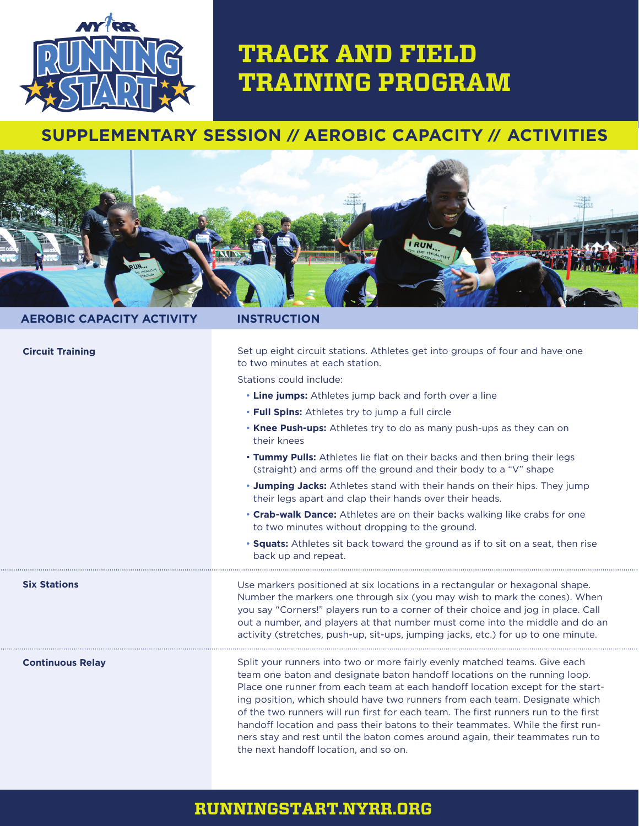

# **TRACK AND FIELD TRAINING PROGRAM**

## **SUPPLEMENTARY SESSION** // **AEROBIC CAPACITY** // **ACTIVITIES**



#### **AEROBIC CAPACITY ACTIVITY INSTRUCTION**

| <b>Circuit Training</b> | Set up eight circuit stations. Athletes get into groups of four and have one<br>to two minutes at each station.                                                                                                                                                                                                                                                                                                                                                                                                                                                                                                              |
|-------------------------|------------------------------------------------------------------------------------------------------------------------------------------------------------------------------------------------------------------------------------------------------------------------------------------------------------------------------------------------------------------------------------------------------------------------------------------------------------------------------------------------------------------------------------------------------------------------------------------------------------------------------|
|                         | Stations could include:                                                                                                                                                                                                                                                                                                                                                                                                                                                                                                                                                                                                      |
|                         | . Line jumps: Athletes jump back and forth over a line                                                                                                                                                                                                                                                                                                                                                                                                                                                                                                                                                                       |
|                         | . Full Spins: Athletes try to jump a full circle                                                                                                                                                                                                                                                                                                                                                                                                                                                                                                                                                                             |
|                         | . Knee Push-ups: Athletes try to do as many push-ups as they can on<br>their knees                                                                                                                                                                                                                                                                                                                                                                                                                                                                                                                                           |
|                         | . Tummy Pulls: Athletes lie flat on their backs and then bring their legs<br>(straight) and arms off the ground and their body to a "V" shape                                                                                                                                                                                                                                                                                                                                                                                                                                                                                |
|                         | . Jumping Jacks: Athletes stand with their hands on their hips. They jump<br>their legs apart and clap their hands over their heads.                                                                                                                                                                                                                                                                                                                                                                                                                                                                                         |
|                         | • Crab-walk Dance: Athletes are on their backs walking like crabs for one<br>to two minutes without dropping to the ground.                                                                                                                                                                                                                                                                                                                                                                                                                                                                                                  |
|                         | • <b>Squats:</b> Athletes sit back toward the ground as if to sit on a seat, then rise<br>back up and repeat.                                                                                                                                                                                                                                                                                                                                                                                                                                                                                                                |
| <b>Six Stations</b>     | Use markers positioned at six locations in a rectangular or hexagonal shape.<br>Number the markers one through six (you may wish to mark the cones). When<br>you say "Corners!" players run to a corner of their choice and jog in place. Call<br>out a number, and players at that number must come into the middle and do an<br>activity (stretches, push-up, sit-ups, jumping jacks, etc.) for up to one minute.                                                                                                                                                                                                          |
| <b>Continuous Relay</b> | Split your runners into two or more fairly evenly matched teams. Give each<br>team one baton and designate baton handoff locations on the running loop.<br>Place one runner from each team at each handoff location except for the start-<br>ing position, which should have two runners from each team. Designate which<br>of the two runners will run first for each team. The first runners run to the first<br>handoff location and pass their batons to their teammates. While the first run-<br>ners stay and rest until the baton comes around again, their teammates run to<br>the next handoff location, and so on. |

#### **RUNNINGSTART.NYRR.ORG**